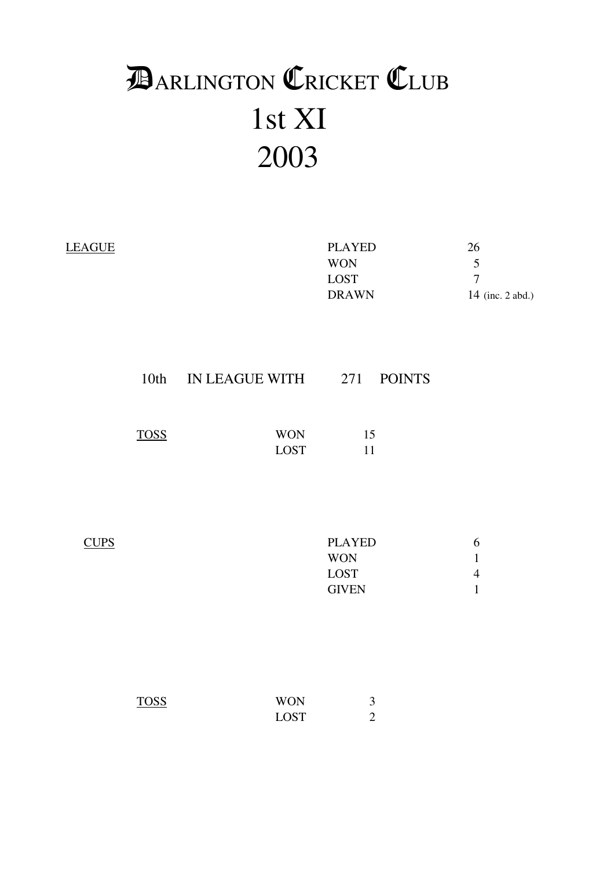# 1st XI 2003 **DARLINGTON CRICKET CLUB**

| <b>LEAGUE</b> |             |                                | <b>PLAYED</b><br><b>WON</b><br>${\rm LOST}$<br><b>DRAWN</b> | 26<br>5<br>$\overline{7}$<br>14 (inc. 2 abd.)      |
|---------------|-------------|--------------------------------|-------------------------------------------------------------|----------------------------------------------------|
|               |             | 10th IN LEAGUE WITH 271 POINTS |                                                             |                                                    |
|               | <b>TOSS</b> | <b>WON</b><br>${\rm LOST}$     | 15<br>11                                                    |                                                    |
| <b>CUPS</b>   |             |                                | <b>PLAYED</b><br><b>WON</b><br><b>LOST</b><br><b>GIVEN</b>  | 6<br>$\mathbf 1$<br>$\overline{4}$<br>$\mathbf{1}$ |
|               | <b>TOSS</b> | <b>WON</b><br><b>LOST</b>      | $\mathfrak{Z}$<br>$\overline{2}$                            |                                                    |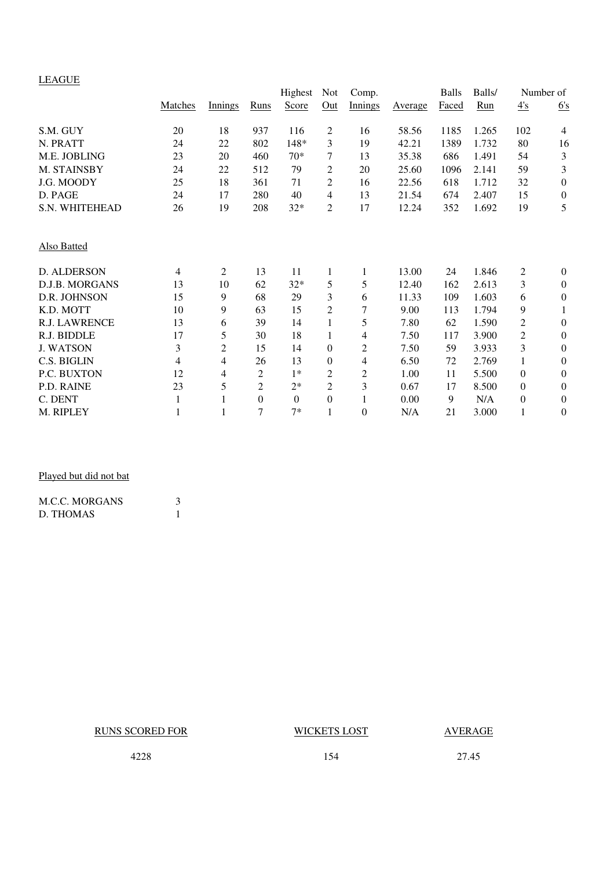#### LEAGUE

| <b>LLITOUL</b>        |         |                |                | Highest          | <b>Not</b>     | Comp.          |         | <b>Balls</b> | Balls/ |                  | Number of        |
|-----------------------|---------|----------------|----------------|------------------|----------------|----------------|---------|--------------|--------|------------------|------------------|
|                       | Matches | Innings        | Runs           | Score            | Out            | <b>Innings</b> | Average | Faced        | Run    | $\frac{4}{s}$    | 6's              |
| S.M. GUY              | 20      | 18             | 937            | 116              | 2              | 16             | 58.56   | 1185         | 1.265  | 102              | $\overline{4}$   |
| N. PRATT              | 24      | 22             | 802            | 148*             | 3              | 19             | 42.21   | 1389         | 1.732  | 80               | 16               |
| M.E. JOBLING          | 23      | 20             | 460            | $70*$            | 7              | 13             | 35.38   | 686          | 1.491  | 54               | $\mathfrak{Z}$   |
| M. STAINSBY           | 24      | 22             | 512            | 79               | 2              | 20             | 25.60   | 1096         | 2.141  | 59               | 3                |
| J.G. MOODY            | 25      | 18             | 361            | 71               | $\overline{c}$ | 16             | 22.56   | 618          | 1.712  | 32               | $\boldsymbol{0}$ |
| D. PAGE               | 24      | 17             | 280            | 40               | 4              | 13             | 21.54   | 674          | 2.407  | 15               | $\boldsymbol{0}$ |
| S.N. WHITEHEAD        | 26      | 19             | 208            | $32*$            | 2              | 17             | 12.24   | 352          | 1.692  | 19               | 5                |
| Also Batted           |         |                |                |                  |                |                |         |              |        |                  |                  |
| D. ALDERSON           | 4       | $\mathfrak{2}$ | 13             | 11               | 1              | 1              | 13.00   | 24           | 1.846  | 2                | $\boldsymbol{0}$ |
| <b>D.J.B. MORGANS</b> | 13      | 10             | 62             | $32*$            | 5              | 5              | 12.40   | 162          | 2.613  | 3                | $\overline{0}$   |
| D.R. JOHNSON          | 15      | 9              | 68             | 29               | 3              | 6              | 11.33   | 109          | 1.603  | 6                | $\boldsymbol{0}$ |
| K.D. MOTT             | 10      | 9              | 63             | 15               | 2              | 7              | 9.00    | 113          | 1.794  | 9                | 1                |
| <b>R.J. LAWRENCE</b>  | 13      | 6              | 39             | 14               | 1              | 5              | 7.80    | 62           | 1.590  | 2                | $\boldsymbol{0}$ |
| R.J. BIDDLE           | 17      | 5              | 30             | 18               | 1              | 4              | 7.50    | 117          | 3.900  | $\overline{c}$   | $\boldsymbol{0}$ |
| <b>J. WATSON</b>      | 3       | $\overline{c}$ | 15             | 14               | $\overline{0}$ | 2              | 7.50    | 59           | 3.933  | 3                | $\boldsymbol{0}$ |
| C.S. BIGLIN           | 4       | $\overline{4}$ | 26             | 13               | $\Omega$       | 4              | 6.50    | 72           | 2.769  | $\mathbf{1}$     | $\boldsymbol{0}$ |
| P.C. BUXTON           | 12      | $\overline{4}$ | 2              | $1*$             | $\overline{2}$ | $\overline{c}$ | 1.00    | 11           | 5.500  | $\mathbf{0}$     | $\theta$         |
| P.D. RAINE            | 23      | 5              | $\overline{2}$ | $2*$             | $\overline{2}$ | 3              | 0.67    | 17           | 8.500  | $\boldsymbol{0}$ | $\boldsymbol{0}$ |
| C. DENT               | 1       | 1              | $\theta$       | $\boldsymbol{0}$ | $\overline{0}$ | 1              | 0.00    | 9            | N/A    | $\boldsymbol{0}$ | $\boldsymbol{0}$ |
| M. RIPLEY             |         | 1              | 7              | $7*$             |                | 0              | N/A     | 21           | 3.000  | 1                | $\theta$         |

### Played but did not bat

| <b>M.C.C. MORGANS</b> |  |
|-----------------------|--|
| D. THOMAS             |  |

### RUNS SCORED FOR WICKETS LOST AVERAGE

4228 154 27.45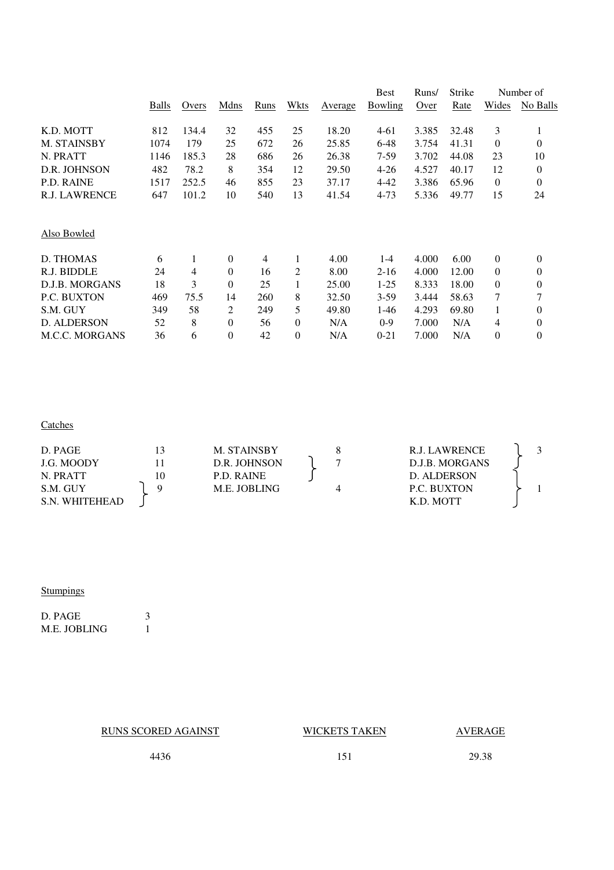|                       |       |       |                |      |          |         | <b>Best</b>    | Runs/ | Strike |                  | Number of      |
|-----------------------|-------|-------|----------------|------|----------|---------|----------------|-------|--------|------------------|----------------|
|                       | Balls | Overs | Mdns           | Runs | Wkts     | Average | <b>Bowling</b> | Over  | Rate   | Wides            | No Balls       |
| K.D. MOTT             | 812   | 134.4 | 32             | 455  | 25       | 18.20   | $4 - 61$       | 3.385 | 32.48  | 3                |                |
| M. STAINSBY           | 1074  | 179   | 25             | 672  | 26       | 25.85   | $6 - 48$       | 3.754 | 41.31  | $\mathbf{0}$     | $\overline{0}$ |
| N. PRATT              | 1146  | 185.3 | 28             | 686  | 26       | 26.38   | 7-59           | 3.702 | 44.08  | 23               | 10             |
| D.R. JOHNSON          | 482   | 78.2  | 8              | 354  | 12       | 29.50   | $4 - 26$       | 4.527 | 40.17  | 12               | 0              |
| P.D. RAINE            | 1517  | 252.5 | 46             | 855  | 23       | 37.17   | $4 - 42$       | 3.386 | 65.96  | $\mathbf{0}$     | 0              |
| <b>R.J. LAWRENCE</b>  | 647   | 101.2 | 10             | 540  | 13       | 41.54   | $4 - 73$       | 5.336 | 49.77  | 15               | 24             |
| Also Bowled           |       |       |                |      |          |         |                |       |        |                  |                |
| D. THOMAS             | 6     | 1     | $\theta$       | 4    | 1        | 4.00    | $1 - 4$        | 4.000 | 6.00   | $\boldsymbol{0}$ | 0              |
| R.J. BIDDLE           | 24    | 4     | $\theta$       | 16   | 2        | 8.00    | $2 - 16$       | 4.000 | 12.00  | $\mathbf{0}$     | 0              |
| D.J.B. MORGANS        | 18    | 3     | $\theta$       | 25   |          | 25.00   | $1 - 25$       | 8.333 | 18.00  | 0                | 0              |
| <b>P.C. BUXTON</b>    | 469   | 75.5  | 14             | 260  | 8        | 32.50   | $3-59$         | 3.444 | 58.63  | 7                | 7              |
| S.M. GUY              | 349   | 58    | $\overline{c}$ | 249  | 5        | 49.80   | $1-46$         | 4.293 | 69.80  | 1                | $\overline{0}$ |
| <b>D. ALDERSON</b>    | 52    | 8     | $\Omega$       | 56   | $\Omega$ | N/A     | $0-9$          | 7.000 | N/A    | 4                | 0              |
| <b>M.C.C. MORGANS</b> | 36    | 6     | $\theta$       | 42   | $\theta$ | N/A     | $0 - 21$       | 7.000 | N/A    | 0                | 0              |
|                       |       |       |                |      |          |         |                |       |        |                  |                |

#### **Catches**

| D. PAGE        | 3  | M. STAINSBY  | R.J. LAWRENCE      |  |
|----------------|----|--------------|--------------------|--|
| J.G. MOODY     |    | D.R. JOHNSON | D.J.B. MORGANS     |  |
| N. PRATT       | 10 | P.D. RAINE   | D. ALDERSON        |  |
| S.M. GUY       |    | M.E. JOBLING | <b>P.C. BUXTON</b> |  |
| S.N. WHITEHEAD |    |              | K.D. MOTT          |  |

### Stumpings

D. PAGE 3 M.E. JOBLING 1

RUNS SCORED AGAINST WICKETS TAKEN AVERAGE

4436 151 29.38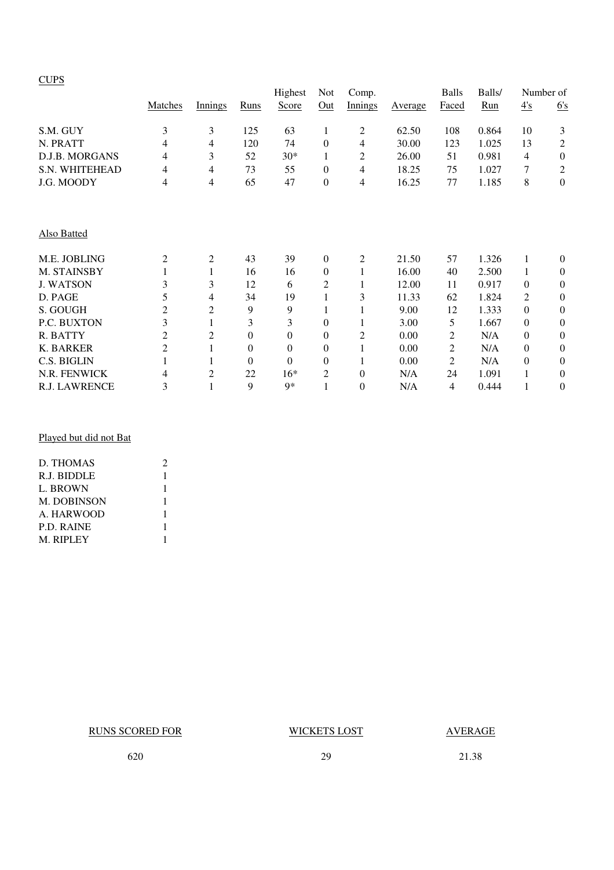#### **CUPS**

|                  |                |                |                  | Highest  | Not              | Comp.          |         | <b>Balls</b> | Balls/ | Number of      |                  |
|------------------|----------------|----------------|------------------|----------|------------------|----------------|---------|--------------|--------|----------------|------------------|
|                  | Matches        | Innings        | Runs             | Score    | Out              | Innings        | Average | Faced        | Run    | 4's            | 6's              |
| S.M. GUY         | 3              | 3              | 125              | 63       | 1                | 2              | 62.50   | 108          | 0.864  | 10             | 3                |
| N. PRATT         | 4              | 4              | 120              | 74       | $\boldsymbol{0}$ | 4              | 30.00   | 123          | 1.025  | 13             | 2                |
| D.J.B. MORGANS   | 4              | 3              | 52               | $30*$    | 1                | 2              | 26.00   | 51           | 0.981  | 4              | $\boldsymbol{0}$ |
| S.N. WHITEHEAD   | 4              | 4              | 73               | 55       | $\boldsymbol{0}$ | 4              | 18.25   | 75           | 1.027  | 7              | $\overline{c}$   |
| J.G. MOODY       | 4              | 4              | 65               | 47       | $\boldsymbol{0}$ | 4              | 16.25   | 77           | 1.185  | 8              | $\boldsymbol{0}$ |
| Also Batted      |                |                |                  |          |                  |                |         |              |        |                |                  |
| M.E. JOBLING     | 2              | $\overline{c}$ | 43               | 39       | $\boldsymbol{0}$ | 2              | 21.50   | 57           | 1.326  | 1              | $\theta$         |
| M. STAINSBY      |                | 1              | 16               | 16       | $\boldsymbol{0}$ |                | 16.00   | 40           | 2.500  | 1              | $\boldsymbol{0}$ |
| <b>J. WATSON</b> | 3              | 3              | 12               | 6        | 2                |                | 12.00   | 11           | 0.917  | $\Omega$       | $\boldsymbol{0}$ |
| D. PAGE          | 5              | 4              | 34               | 19       | 1                | 3              | 11.33   | 62           | 1.824  | $\overline{2}$ | $\boldsymbol{0}$ |
| S. GOUGH         | $\overline{c}$ | $\overline{c}$ | 9                | 9        | 1                |                | 9.00    | 12           | 1.333  | $\Omega$       | $\theta$         |
| P.C. BUXTON      | 3              | 1              | 3                | 3        | $\overline{0}$   |                | 3.00    | 5            | 1.667  | $\Omega$       | $\boldsymbol{0}$ |
| R. BATTY         | $\overline{2}$ | $\overline{c}$ | $\theta$         | $\theta$ | $\overline{0}$   | $\overline{c}$ | 0.00    | 2            | N/A    | $\theta$       | $\boldsymbol{0}$ |
| K. BARKER        | $\overline{c}$ |                | $\boldsymbol{0}$ | $\theta$ | 0                |                | 0.00    | 2            | N/A    | $\Omega$       | $\boldsymbol{0}$ |
| C.S. BIGLIN      |                |                | $\theta$         | $\theta$ | $\overline{0}$   |                | 0.00    | 2            | N/A    | $\theta$       | $\boldsymbol{0}$ |
| N.R. FENWICK     | 4              | $\overline{c}$ | 22               | $16*$    | 2                | $\theta$       | N/A     | 24           | 1.091  | 1              | $\boldsymbol{0}$ |
| R.J. LAWRENCE    | 3              | $\mathbf{1}$   | 9                | $Q*$     | 1                | $\theta$       | N/A     | 4            | 0.444  | 1              | $\theta$         |

#### Played but did not Bat

| D. THOMAS   | 2 |
|-------------|---|
| R.J. BIDDLE | 1 |
| L. BROWN    |   |
| M. DOBINSON |   |
| A. HARWOOD  | 1 |
| P.D. RAINE  |   |
| M. RIPLEY   |   |
|             |   |

RUNS SCORED FOR WICKETS LOST AVERAGE

620 29 21.38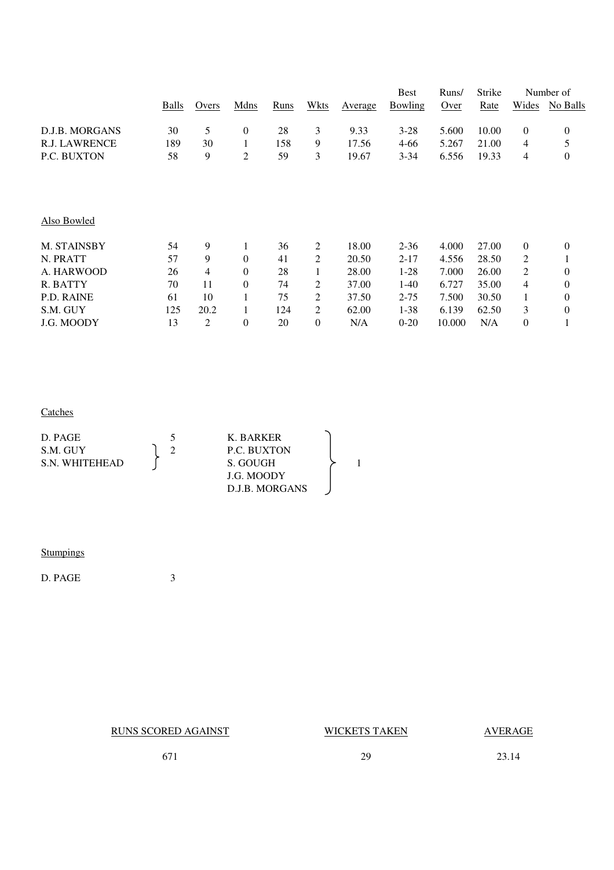|                      |       |       |                  |      |                |         | <b>Best</b> | Runs/  | Strike |                | Number of        |
|----------------------|-------|-------|------------------|------|----------------|---------|-------------|--------|--------|----------------|------------------|
|                      | Balls | Overs | Mdns             | Runs | Wkts           | Average | Bowling     | Over   | Rate   | Wides          | No Balls         |
| D.J.B. MORGANS       | 30    | 5     | $\boldsymbol{0}$ | 28   | 3              | 9.33    | $3 - 28$    | 5.600  | 10.00  | $\overline{0}$ | $\mathbf{0}$     |
| <b>R.J. LAWRENCE</b> | 189   | 30    | 1                | 158  | 9              | 17.56   | 4-66        | 5.267  | 21.00  | 4              | 5                |
| P.C. BUXTON          | 58    | 9     | $\overline{c}$   | 59   | 3              | 19.67   | $3 - 34$    | 6.556  | 19.33  | 4              | $\boldsymbol{0}$ |
|                      |       |       |                  |      |                |         |             |        |        |                |                  |
| Also Bowled          |       |       |                  |      |                |         |             |        |        |                |                  |
| M. STAINSBY          | 54    | 9     | 1                | 36   | 2              | 18.00   | $2 - 36$    | 4.000  | 27.00  | $\overline{0}$ | $\mathbf{0}$     |
| N. PRATT             | 57    | 9     | $\theta$         | 41   | 2              | 20.50   | $2 - 17$    | 4.556  | 28.50  | 2              | 1                |
| A. HARWOOD           | 26    | 4     | $\theta$         | 28   | 1              | 28.00   | $1-28$      | 7.000  | 26.00  | 2              | $\boldsymbol{0}$ |
| R. BATTY             | 70    | 11    | $\theta$         | 74   | 2              | 37.00   | 1-40        | 6.727  | 35.00  | 4              | $\boldsymbol{0}$ |
| P.D. RAINE           | 61    | 10    | 1                | 75   | 2              | 37.50   | $2 - 75$    | 7.500  | 30.50  |                | $\overline{0}$   |
| S.M. GUY             | 125   | 20.2  | 1                | 124  | 2              | 62.00   | $1 - 38$    | 6.139  | 62.50  | 3              | $\boldsymbol{0}$ |
| J.G. MOODY           | 13    | 2     | $\overline{0}$   | 20   | $\overline{0}$ | N/A     | $0 - 20$    | 10.000 | N/A    | 0              | 1                |

### **Catches**

## **Stumpings**

D. PAGE 3

| <b>RUNS SCORED AGAINST</b> | WICKETS TAKEN | <b>AVERAGE</b> |
|----------------------------|---------------|----------------|
| 67                         | 29            | 23.14          |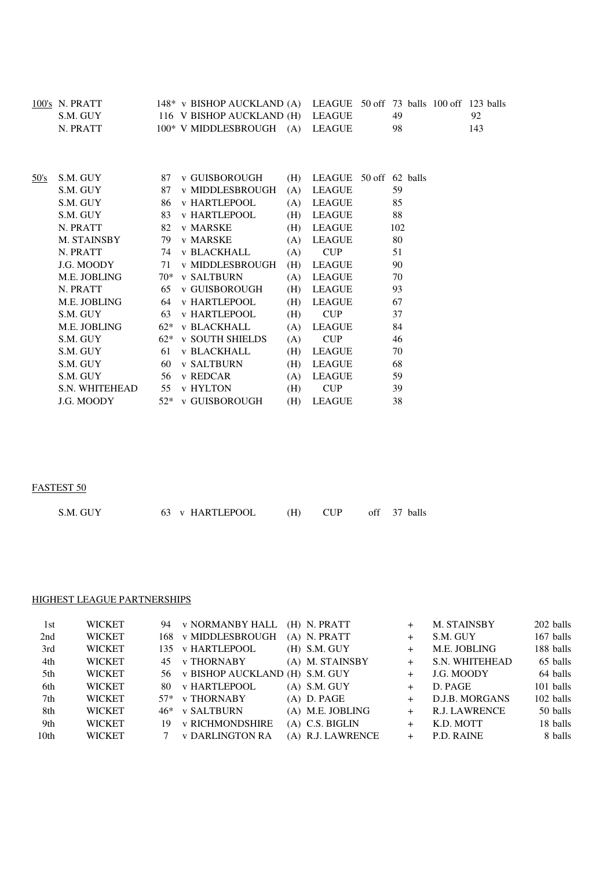|      | 100's N. PRATT<br>S.M. GUY<br>N. PRATT |       | $148*$ v BISHOP AUCKLAND (A)<br>116 V BISHOP AUCKLAND (H)<br>$100*$ V MIDDLESBROUGH $(A)$ |     | LEAGUE 50 off 73 balls 100 off 123 balls<br><b>LEAGUE</b><br><b>LEAGUE</b> | 49<br>98 |  | 92<br>143 |
|------|----------------------------------------|-------|-------------------------------------------------------------------------------------------|-----|----------------------------------------------------------------------------|----------|--|-----------|
|      |                                        |       |                                                                                           |     |                                                                            |          |  |           |
| 50's | S.M. GUY                               | 87    | <b>v GUISBOROUGH</b>                                                                      | (H) | LEAGUE 50 off 62 balls                                                     |          |  |           |
|      | S.M. GUY                               | 87    | v MIDDLESBROUGH                                                                           | (A) | <b>LEAGUE</b>                                                              | 59       |  |           |
|      | S.M. GUY                               | 86    | <b>v HARTLEPOOL</b>                                                                       | (A) | <b>LEAGUE</b>                                                              | 85       |  |           |
|      | S.M. GUY                               | 83    | <b>v HARTLEPOOL</b>                                                                       | (H) | <b>LEAGUE</b>                                                              | 88       |  |           |
|      | N. PRATT                               | 82    | <b>v MARSKE</b>                                                                           | (H) | <b>LEAGUE</b>                                                              | 102      |  |           |
|      | M. STAINSBY                            | 79    | <b>v MARSKE</b>                                                                           | (A) | <b>LEAGUE</b>                                                              | 80       |  |           |
|      | N. PRATT                               | 74    | <b>v BLACKHALL</b>                                                                        | (A) | <b>CUP</b>                                                                 | 51       |  |           |
|      | J.G. MOODY                             | 71    | <b>v MIDDLESBROUGH</b>                                                                    | (H) | LEAGUE                                                                     | 90       |  |           |
|      | M.E. JOBLING                           |       | 70* v SALTBURN                                                                            | (A) | <b>LEAGUE</b>                                                              | 70       |  |           |
|      | N. PRATT                               | 65    | <b>v GUISBOROUGH</b>                                                                      | (H) | <b>LEAGUE</b>                                                              | 93       |  |           |
|      | M.E. JOBLING                           | 64    | <b>v HARTLEPOOL</b>                                                                       | (H) | <b>LEAGUE</b>                                                              | 67       |  |           |
|      | S.M. GUY                               | 63    | <b>v HARTLEPOOL</b>                                                                       | (H) | <b>CUP</b>                                                                 | 37       |  |           |
|      | M.E. JOBLING                           | $62*$ | <b>v BLACKHALL</b>                                                                        | (A) | <b>LEAGUE</b>                                                              | 84       |  |           |
|      | S.M. GUY                               |       | $62*$ v SOUTH SHIELDS                                                                     | (A) | <b>CUP</b>                                                                 | 46       |  |           |
|      | S.M. GUY                               | 61    | <b>v BLACKHALL</b>                                                                        | (H) | <b>LEAGUE</b>                                                              | 70       |  |           |
|      | S.M. GUY                               | 60    | <b>v SALTBURN</b>                                                                         | (H) | <b>LEAGUE</b>                                                              | 68       |  |           |
|      | S.M. GUY                               | 56    | v REDCAR                                                                                  | (A) | <b>LEAGUE</b>                                                              | 59       |  |           |
|      | S.N. WHITEHEAD                         | 55    | <b>v HYLTON</b>                                                                           | (H) | <b>CUP</b>                                                                 | 39       |  |           |
|      | J.G. MOODY                             | $52*$ | v GUISBOROUGH                                                                             | (H) | <b>LEAGUE</b>                                                              | 38       |  |           |

#### FASTEST 50

| S.M. GUY | 63 v HARTLEPOOL | $(H)$ CUP | off 37 balls |  |
|----------|-----------------|-----------|--------------|--|
|          |                 |           |              |  |

#### HIGHEST LEAGUE PARTNERSHIPS

| 1st              | <b>WICKET</b> |     | 94 v NORMANBY HALL                | (H) N. PRATT      |     | M. STAINSBY    | 202 balls |
|------------------|---------------|-----|-----------------------------------|-------------------|-----|----------------|-----------|
| 2nd              | <b>WICKET</b> |     | 168 v MIDDLESBROUGH               | $(A)$ N. PRATT    |     | S.M. GUY       | 167 balls |
| 3rd              | <b>WICKET</b> |     | 135 v HARTLEPOOL                  | $(H)$ S.M. GUY    | $+$ | M.E. JOBLING   | 188 balls |
| 4th              | <b>WICKET</b> |     | 45 v THORNABY                     | (A) M. STAINSBY   | $+$ | S.N. WHITEHEAD | 65 balls  |
| 5th              | <b>WICKET</b> |     | 56 v BISHOP AUCKLAND (H) S.M. GUY |                   |     | J.G. MOODY     | 64 balls  |
| 6th              | <b>WICKET</b> | 80. | <b>v HARTLEPOOL</b>               | $(A)$ S.M. GUY    |     | D. PAGE        | 101 balls |
| 7th              | <b>WICKET</b> |     | 57* v THORNABY                    | $(A)$ D. PAGE     |     | D.J.B. MORGANS | 102 balls |
| 8th              | <b>WICKET</b> |     | 46* v SALTBURN                    | (A) M.E. JOBLING  | $+$ | R.J. LAWRENCE  | 50 balls  |
| 9th              | <b>WICKET</b> | 19  | <b>v RICHMONDSHIRE</b>            | $(A)$ C.S. BIGLIN | $+$ | K.D. MOTT      | 18 balls  |
| 10 <sub>th</sub> | <b>WICKET</b> |     | <b>v DARLINGTON RA</b>            | (A) R.J. LAWRENCE |     | P.D. RAINE     | 8 balls   |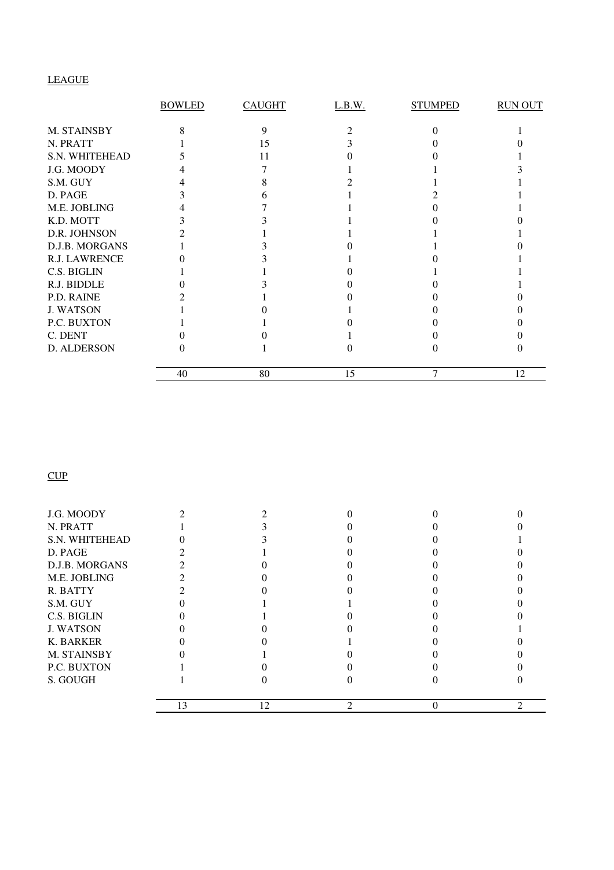### LEAGUE

|                      | <b>BOWLED</b> | <b>CAUGHT</b> | L.B.W. | <b>STUMPED</b> | <b>RUN OUT</b> |
|----------------------|---------------|---------------|--------|----------------|----------------|
| M. STAINSBY          |               | 9             |        |                |                |
| N. PRATT             |               | 15            |        |                |                |
| S.N. WHITEHEAD       |               | 11            |        |                |                |
| J.G. MOODY           |               |               |        |                |                |
| S.M. GUY             |               |               |        |                |                |
| D. PAGE              |               |               |        |                |                |
| M.E. JOBLING         |               |               |        |                |                |
| K.D. MOTT            |               |               |        |                |                |
| D.R. JOHNSON         |               |               |        |                |                |
| D.J.B. MORGANS       |               |               |        |                |                |
| <b>R.J. LAWRENCE</b> |               |               |        |                |                |
| C.S. BIGLIN          |               |               |        |                |                |
| R.J. BIDDLE          |               |               |        |                |                |
| P.D. RAINE           |               |               |        |                |                |
| <b>J. WATSON</b>     |               |               |        |                |                |
| P.C. BUXTON          |               |               |        |                |                |
| C. DENT              |               |               |        |                |                |
| D. ALDERSON          |               |               |        |                |                |
|                      | 40            | 80            | 15     |                | 12             |

**CUP** 

| J.G. MOODY       |    |    |          |  |
|------------------|----|----|----------|--|
| N. PRATT         |    |    |          |  |
| S.N. WHITEHEAD   |    |    |          |  |
| D. PAGE          |    |    |          |  |
| D.J.B. MORGANS   |    |    |          |  |
| M.E. JOBLING     |    |    |          |  |
| R. BATTY         |    |    |          |  |
| S.M. GUY         |    |    |          |  |
| C.S. BIGLIN      |    |    |          |  |
| <b>J. WATSON</b> |    |    |          |  |
| <b>K. BARKER</b> |    |    |          |  |
| M. STAINSBY      |    |    |          |  |
| P.C. BUXTON      |    |    |          |  |
| S. GOUGH         |    |    |          |  |
|                  | 13 | 12 | $\Omega$ |  |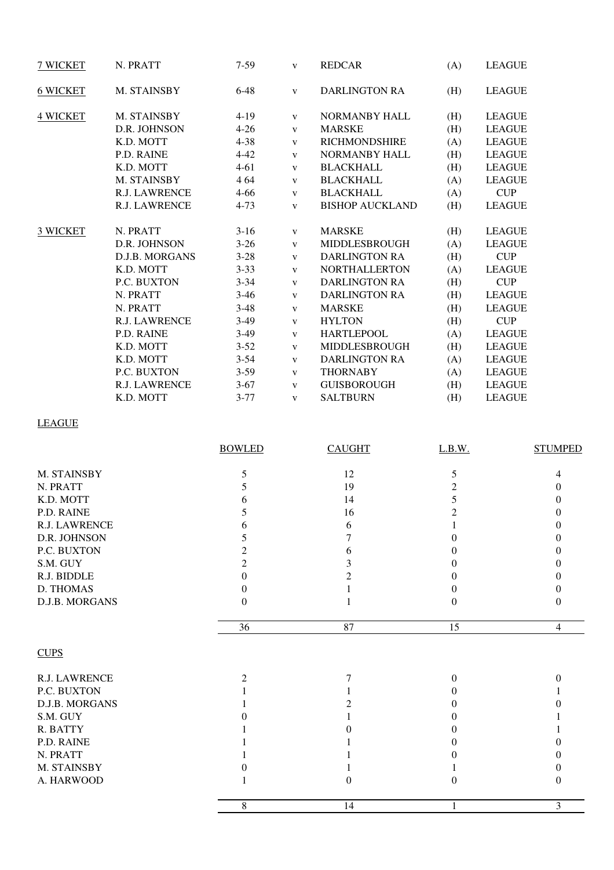| 7 WICKET        | N. PRATT              | $7-59$   | $\mathbf{V}$ | <b>REDCAR</b>          | (A) | <b>LEAGUE</b> |
|-----------------|-----------------------|----------|--------------|------------------------|-----|---------------|
| <b>6 WICKET</b> | M. STAINSBY           | $6 - 48$ | $\mathbf{V}$ | <b>DARLINGTON RA</b>   | (H) | <b>LEAGUE</b> |
| <b>4 WICKET</b> | M. STAINSBY           | $4-19$   | $\mathbf{V}$ | <b>NORMANBY HALL</b>   | (H) | <b>LEAGUE</b> |
|                 | D.R. JOHNSON          | $4 - 26$ | $\mathbf{V}$ | <b>MARSKE</b>          | (H) | <b>LEAGUE</b> |
|                 | K.D. MOTT             | $4 - 38$ | $\mathbf{V}$ | <b>RICHMONDSHIRE</b>   | (A) | <b>LEAGUE</b> |
|                 | P.D. RAINE            | $4 - 42$ | $\mathbf{V}$ | NORMANBY HALL          | (H) | <b>LEAGUE</b> |
|                 | K.D. MOTT             | $4 - 61$ | $\mathbf{V}$ | <b>BLACKHALL</b>       | (H) | <b>LEAGUE</b> |
|                 | M. STAINSBY           | 4 64     | $\mathbf{V}$ | <b>BLACKHALL</b>       | (A) | <b>LEAGUE</b> |
|                 | <b>R.J. LAWRENCE</b>  | $4 - 66$ | $\mathbf{V}$ | <b>BLACKHALL</b>       | (A) | <b>CUP</b>    |
|                 | <b>R.J. LAWRENCE</b>  | $4 - 73$ | $\mathbf{V}$ | <b>BISHOP AUCKLAND</b> | (H) | <b>LEAGUE</b> |
| 3 WICKET        | N. PRATT              | $3-16$   | $\mathbf{V}$ | <b>MARSKE</b>          | (H) | <b>LEAGUE</b> |
|                 | D.R. JOHNSON          | $3 - 26$ | $\mathbf{V}$ | MIDDLESBROUGH          | (A) | <b>LEAGUE</b> |
|                 | <b>D.J.B. MORGANS</b> | $3 - 28$ | $\mathbf{V}$ | <b>DARLINGTON RA</b>   | (H) | <b>CUP</b>    |
|                 | K.D. MOTT             | $3 - 33$ | $\mathbf{V}$ | <b>NORTHALLERTON</b>   | (A) | <b>LEAGUE</b> |
|                 | P.C. BUXTON           | $3 - 34$ | $\mathbf{V}$ | <b>DARLINGTON RA</b>   | (H) | CUP           |
|                 | N. PRATT              | $3-46$   | $\mathbf{V}$ | <b>DARLINGTON RA</b>   | (H) | <b>LEAGUE</b> |
|                 | N. PRATT              | $3-48$   | $\mathbf{V}$ | <b>MARSKE</b>          | (H) | <b>LEAGUE</b> |
|                 | <b>R.J. LAWRENCE</b>  | $3-49$   | $\mathbf{V}$ | <b>HYLTON</b>          | (H) | <b>CUP</b>    |
|                 | P.D. RAINE            | $3-49$   | $\mathbf{V}$ | <b>HARTLEPOOL</b>      | (A) | <b>LEAGUE</b> |
|                 | K.D. MOTT             | $3 - 52$ | $\mathbf{V}$ | MIDDLESBROUGH          | (H) | <b>LEAGUE</b> |
|                 | K.D. MOTT             | $3 - 54$ | $\mathbf{V}$ | <b>DARLINGTON RA</b>   | (A) | <b>LEAGUE</b> |
|                 | P.C. BUXTON           | $3 - 59$ | $\mathbf{V}$ | <b>THORNABY</b>        | (A) | <b>LEAGUE</b> |
|                 | <b>R.J. LAWRENCE</b>  | $3-67$   | $\mathbf{V}$ | <b>GUISBOROUGH</b>     | (H) | <b>LEAGUE</b> |
|                 | K.D. MOTT             | $3 - 77$ | $\mathbf{V}$ | <b>SALTBURN</b>        | (H) | <b>LEAGUE</b> |

### LEAGUE

|                | <b>BOWLED</b>  | <b>CAUGHT</b> | L.B.W.         | <b>STUMPED</b> |
|----------------|----------------|---------------|----------------|----------------|
| M. STAINSBY    | 5              | 12            | 5              | 4              |
| N. PRATT       | 5              | 19            | $\overline{2}$ | 0              |
| K.D. MOTT      | 6              | 14            | 5              | 0              |
| P.D. RAINE     | 5              | 16            | $\overline{c}$ | 0              |
| R.J. LAWRENCE  | 6              | 6             |                | 0              |
| D.R. JOHNSON   | 5              | 7             | 0              | 0              |
| P.C. BUXTON    | 2              | 6             | 0              | 0              |
| S.M. GUY       | $\overline{c}$ | 3             | 0              | 0              |
| R.J. BIDDLE    | $\theta$       |               | $\Omega$       | 0              |
| D. THOMAS      | $\Omega$       |               | $\Omega$       | 0              |
| D.J.B. MORGANS | $\overline{0}$ |               | $\Omega$       | $\theta$       |
|                | 36             | 87            | 15             | $\overline{4}$ |
| <b>CUPS</b>    |                |               |                |                |
| R.J. LAWRENCE  | $\overline{2}$ | 7             | $\theta$       | 0              |
| P.C. BUXTON    |                |               | 0              |                |
| D.J.B. MORGANS |                |               | 0              |                |
| S.M. GUY       |                |               | 0              |                |
| R. BATTY       |                |               | $\Omega$       |                |
| P.D. RAINE     |                |               | $\Omega$       | 0              |
| N. PRATT       |                |               |                | 0              |
| M. STAINSBY    |                |               |                | 0              |
| A. HARWOOD     |                | 0             | 0              | $\theta$       |
|                | 8              | 14            | 1              | 3              |